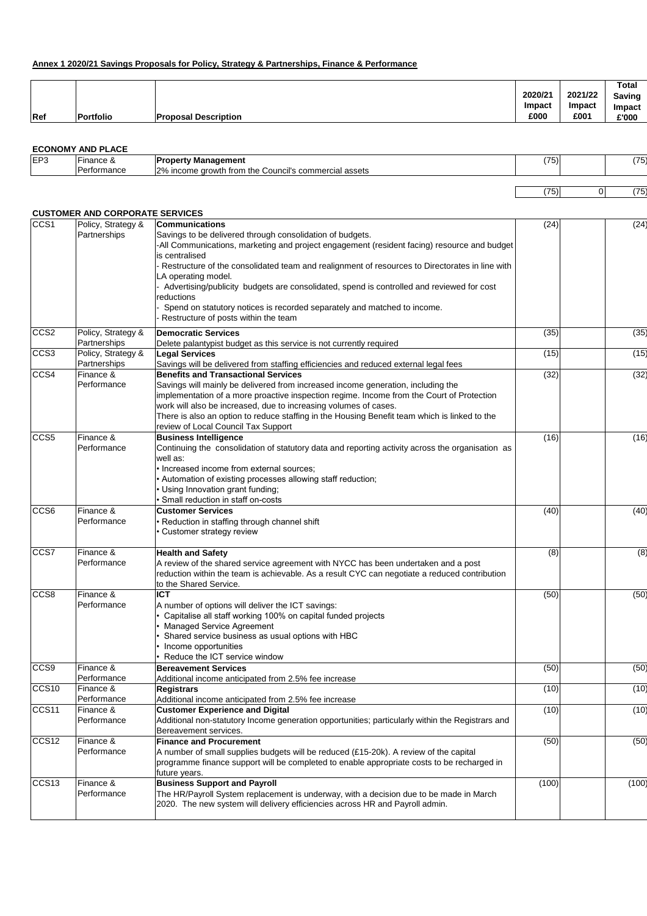## **Annex 1 2020/21 Savings Proposals for Policy, Strategy & Partnerships, Finance & Performance**

|     |                  |                             |               |               | <b>Total</b>  |
|-----|------------------|-----------------------------|---------------|---------------|---------------|
|     |                  |                             | 2020/21       | 2021/22       | <b>Saving</b> |
|     |                  |                             | <b>Impact</b> | <b>Impact</b> | <b>Impact</b> |
| Ref | <b>Portfolio</b> | <b>Proposal Description</b> | £000          | £001          | £'000         |

## **ECONOMY AND PLACE**

| IEP <sub>3</sub> | ·inance | Management<br>onr<br>.                                                                         | $\sqrt{2}$<br>75). | (フに<br>. |
|------------------|---------|------------------------------------------------------------------------------------------------|--------------------|----------|
|                  | ormance | וסרו<br>ಎ commerci <u>e'</u><br>assets<br>the<br>Council's<br>trom<br>arowth<br>יה הו<br>ncome |                    |          |
|                  |         |                                                                                                |                    |          |

| --<br>.<br>╼ | - |  |
|--------------|---|--|
|--------------|---|--|

## **CUSTOMER AND CORPORATE SERVICES**

| CCS1              | Policy, Strategy &<br>Partnerships | <b>Communications</b><br>Savings to be delivered through consolidation of budgets.                      | (24)  | (24)  |
|-------------------|------------------------------------|---------------------------------------------------------------------------------------------------------|-------|-------|
|                   |                                    | -All Communications, marketing and project engagement (resident facing) resource and budget             |       |       |
|                   |                                    | is centralised                                                                                          |       |       |
|                   |                                    | Restructure of the consolidated team and realignment of resources to Directorates in line with          |       |       |
|                   |                                    | LA operating model.                                                                                     |       |       |
|                   |                                    | Advertising/publicity budgets are consolidated, spend is controlled and reviewed for cost<br>reductions |       |       |
|                   |                                    | Spend on statutory notices is recorded separately and matched to income.                                |       |       |
|                   |                                    | Restructure of posts within the team                                                                    |       |       |
| CCS <sub>2</sub>  | Policy, Strategy &                 | <b>Democratic Services</b>                                                                              | (35)  | (35)  |
| CCS <sub>3</sub>  | Partnerships<br>Policy, Strategy & | Delete palantypist budget as this service is not currently required<br><b>Legal Services</b>            | (15)  | (15)  |
|                   | Partnerships                       | Savings will be delivered from staffing efficiencies and reduced external legal fees                    |       |       |
| CCS4              | <b>IFinance &amp;</b>              | <b>Benefits and Transactional Services</b>                                                              | (32)  | (32)  |
|                   | <b>IPerformance</b>                | Savings will mainly be delivered from increased income generation, including the                        |       |       |
|                   |                                    | implementation of a more proactive inspection regime. Income from the Court of Protection               |       |       |
|                   |                                    | work will also be increased, due to increasing volumes of cases.                                        |       |       |
|                   |                                    | There is also an option to reduce staffing in the Housing Benefit team which is linked to the           |       |       |
|                   |                                    | review of Local Council Tax Support                                                                     |       |       |
| CCS5              | Finance &                          | <b>Business Intelligence</b>                                                                            | (16)  | (16)  |
|                   | Performance                        | Continuing the consolidation of statutory data and reporting activity across the organisation as        |       |       |
|                   |                                    | well as:<br>• Increased income from external sources;                                                   |       |       |
|                   |                                    | • Automation of existing processes allowing staff reduction;                                            |       |       |
|                   |                                    | • Using Innovation grant funding;                                                                       |       |       |
|                   |                                    | Small reduction in staff on-costs                                                                       |       |       |
| CCS <sub>6</sub>  | Finance &                          | <b>Customer Services</b>                                                                                | (40)  | (40)  |
|                   | Performance                        | • Reduction in staffing through channel shift                                                           |       |       |
|                   |                                    | Customer strategy review                                                                                |       |       |
| CCS7              | Finance &                          | <b>Health and Safety</b>                                                                                | (8)   | (8)   |
|                   | <b>Performance</b>                 | A review of the shared service agreement with NYCC has been undertaken and a post                       |       |       |
|                   |                                    | reduction within the team is achievable. As a result CYC can negotiate a reduced contribution           |       |       |
| CCS8              | Finance &                          | to the Shared Service.<br><b>ICT</b>                                                                    | (50)  | (50)  |
|                   | <b>Performance</b>                 | A number of options will deliver the ICT savings:                                                       |       |       |
|                   |                                    | Capitalise all staff working 100% on capital funded projects                                            |       |       |
|                   |                                    | <b>Managed Service Agreement</b>                                                                        |       |       |
|                   |                                    | Shared service business as usual options with HBC                                                       |       |       |
|                   |                                    | Income opportunities                                                                                    |       |       |
|                   |                                    | Reduce the ICT service window                                                                           |       |       |
| CCS <sub>9</sub>  | Finance &                          | <b>Bereavement Services</b>                                                                             | (50)  | (50)  |
|                   | <b>Performance</b>                 | Additional income anticipated from 2.5% fee increase                                                    |       |       |
| CCS <sub>10</sub> | Finance &                          | <b>Registrars</b>                                                                                       | (10)  | (10)  |
| CCS11             | <b>IPerformance</b><br>Finance &   | Additional income anticipated from 2.5% fee increase<br><b>Customer Experience and Digital</b>          | (10)  | (10)  |
|                   | <b>Performance</b>                 | Additional non-statutory Income generation opportunities; particularly within the Registrars and        |       |       |
|                   |                                    | Bereavement services.                                                                                   |       |       |
| CCS <sub>12</sub> | Finance &                          | <b>Finance and Procurement</b>                                                                          | (50)  | (50)  |
|                   | Performance                        | A number of small supplies budgets will be reduced (£15-20k). A review of the capital                   |       |       |
|                   |                                    | programme finance support will be completed to enable appropriate costs to be recharged in              |       |       |
|                   |                                    | future years.                                                                                           |       |       |
| CCS <sub>13</sub> | Finance &                          | <b>Business Support and Payroll</b>                                                                     | (100) | (100) |
|                   |                                    | The HR/Payroll System replacement is underway, with a decision due to be made in March                  |       |       |
|                   | Performance                        | 2020. The new system will delivery efficiencies across HR and Payroll admin.                            |       |       |